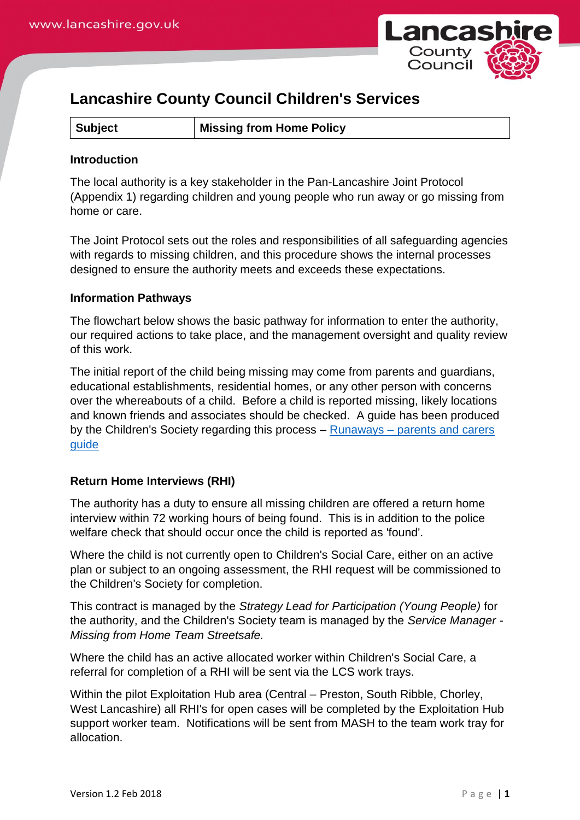

# **Lancashire County Council Children's Services**

**Subject Missing from Home Policy**

#### **Introduction**

The local authority is a key stakeholder in the Pan-Lancashire Joint Protocol (Appendix 1) regarding children and young people who run away or go missing from home or care.

The Joint Protocol sets out the roles and responsibilities of all safeguarding agencies with regards to missing children, and this procedure shows the internal processes designed to ensure the authority meets and exceeds these expectations.

#### **Information Pathways**

The flowchart below shows the basic pathway for information to enter the authority, our required actions to take place, and the management oversight and quality review of this work.

The initial report of the child being missing may come from parents and guardians, educational establishments, residential homes, or any other person with concerns over the whereabouts of a child. Before a child is reported missing, likely locations and known friends and associates should be checked. A guide has been produced by the Children's Society regarding this process – Runaways – [parents and carers](http://www.childrenssociety.org.uk/sites/default/files/tcs/runaways_parents_guide_2013_final_six-page.pdf)  [guide](http://www.childrenssociety.org.uk/sites/default/files/tcs/runaways_parents_guide_2013_final_six-page.pdf)

## **Return Home Interviews (RHI)**

The authority has a duty to ensure all missing children are offered a return home interview within 72 working hours of being found. This is in addition to the police welfare check that should occur once the child is reported as 'found'.

Where the child is not currently open to Children's Social Care, either on an active plan or subject to an ongoing assessment, the RHI request will be commissioned to the Children's Society for completion.

This contract is managed by the *Strategy Lead for Participation (Young People)* for the authority, and the Children's Society team is managed by the *Service Manager - Missing from Home Team Streetsafe.*

Where the child has an active allocated worker within Children's Social Care, a referral for completion of a RHI will be sent via the LCS work trays.

Within the pilot Exploitation Hub area (Central – Preston, South Ribble, Chorley, West Lancashire) all RHI's for open cases will be completed by the Exploitation Hub support worker team. Notifications will be sent from MASH to the team work tray for allocation.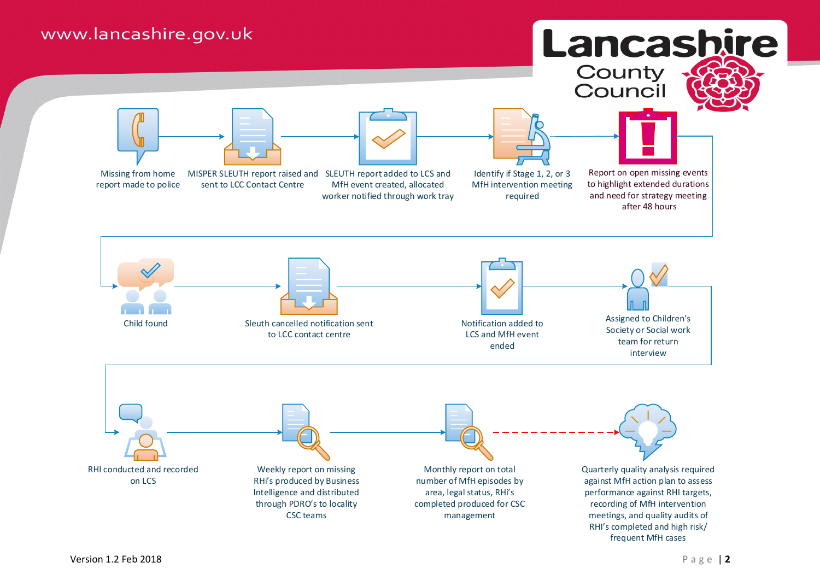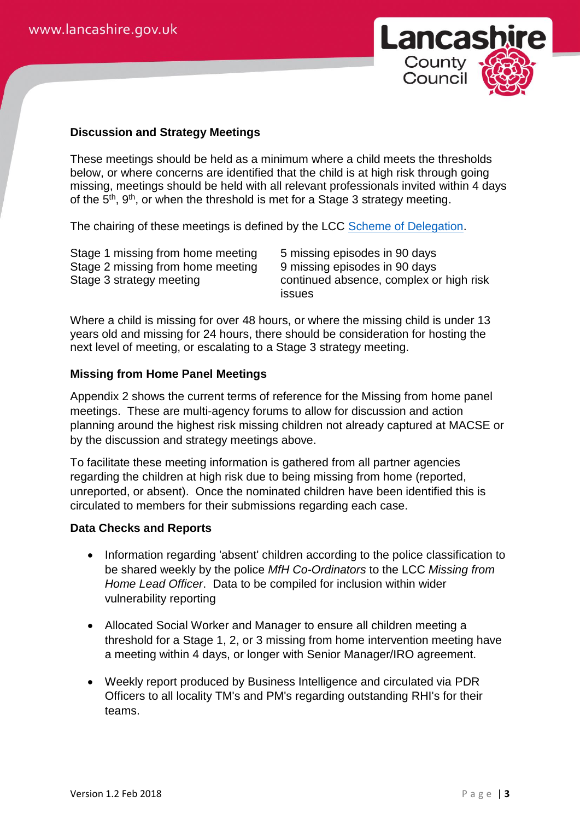

# **Discussion and Strategy Meetings**

These meetings should be held as a minimum where a child meets the thresholds below, or where concerns are identified that the child is at high risk through going missing, meetings should be held with all relevant professionals invited within 4 days of the 5<sup>th</sup>, 9<sup>th</sup>, or when the threshold is met for a Stage 3 strategy meeting.

The chairing of these meetings is defined by the LCC [Scheme of Delegation.](http://www.proceduresonline.com/lancashirecsc/files/scheme_of_delegation.pdf)

Stage 1 missing from home meeting 5 missing episodes in 90 days Stage 2 missing from home meeting 9 missing episodes in 90 days

Stage 3 strategy meeting continued absence, complex or high risk issues

Where a child is missing for over 48 hours, or where the missing child is under 13 years old and missing for 24 hours, there should be consideration for hosting the next level of meeting, or escalating to a Stage 3 strategy meeting.

#### **Missing from Home Panel Meetings**

Appendix 2 shows the current terms of reference for the Missing from home panel meetings. These are multi-agency forums to allow for discussion and action planning around the highest risk missing children not already captured at MACSE or by the discussion and strategy meetings above.

To facilitate these meeting information is gathered from all partner agencies regarding the children at high risk due to being missing from home (reported, unreported, or absent). Once the nominated children have been identified this is circulated to members for their submissions regarding each case.

## **Data Checks and Reports**

- Information regarding 'absent' children according to the police classification to be shared weekly by the police *MfH Co-Ordinators* to the LCC *Missing from Home Lead Officer*. Data to be compiled for inclusion within wider vulnerability reporting
- Allocated Social Worker and Manager to ensure all children meeting a threshold for a Stage 1, 2, or 3 missing from home intervention meeting have a meeting within 4 days, or longer with Senior Manager/IRO agreement.
- Weekly report produced by Business Intelligence and circulated via PDR Officers to all locality TM's and PM's regarding outstanding RHI's for their teams.